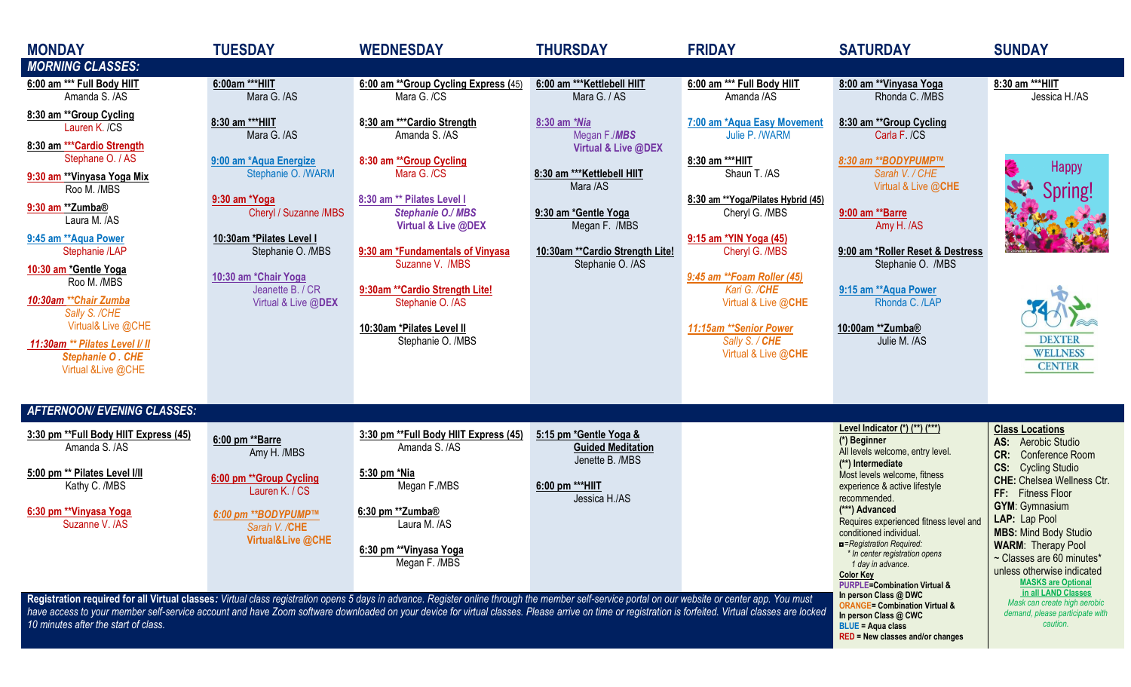| <b>MONDAY</b><br><b>MORNING CLASSES:</b>                                                                                                                                                                                                                                                                                                                                                                                                         | <b>TUESDAY</b>                                                                                                                                                                                                                               | <b>WEDNESDAY</b>                                                                                                                                                                                                                                                                                                                         | <b>THURSDAY</b>                                                                                                                                                                                 | <b>FRIDAY</b>                                                                                                                                                                                                                                                                                                                   | <b>SATURDAY</b>                                                                                                                                                                                                                                                                                                                                                                                                                                                                                                | <b>SUNDAY</b>                                                                                                                                                                                                                                                                                                                                                                                                       |
|--------------------------------------------------------------------------------------------------------------------------------------------------------------------------------------------------------------------------------------------------------------------------------------------------------------------------------------------------------------------------------------------------------------------------------------------------|----------------------------------------------------------------------------------------------------------------------------------------------------------------------------------------------------------------------------------------------|------------------------------------------------------------------------------------------------------------------------------------------------------------------------------------------------------------------------------------------------------------------------------------------------------------------------------------------|-------------------------------------------------------------------------------------------------------------------------------------------------------------------------------------------------|---------------------------------------------------------------------------------------------------------------------------------------------------------------------------------------------------------------------------------------------------------------------------------------------------------------------------------|----------------------------------------------------------------------------------------------------------------------------------------------------------------------------------------------------------------------------------------------------------------------------------------------------------------------------------------------------------------------------------------------------------------------------------------------------------------------------------------------------------------|---------------------------------------------------------------------------------------------------------------------------------------------------------------------------------------------------------------------------------------------------------------------------------------------------------------------------------------------------------------------------------------------------------------------|
| 6:00 am *** Full Body HIIT<br>Amanda S. /AS                                                                                                                                                                                                                                                                                                                                                                                                      | 6:00am *** HIIT<br>Mara G. /AS                                                                                                                                                                                                               | 6:00 am ** Group Cycling Express (45)<br>Mara G. /CS                                                                                                                                                                                                                                                                                     | 6:00 am *** Kettlebell HIIT<br>Mara G. / AS                                                                                                                                                     | 6:00 am *** Full Body HIIT<br>Amanda /AS                                                                                                                                                                                                                                                                                        | 8:00 am **Vinyasa Yoga<br>Rhonda C. /MBS                                                                                                                                                                                                                                                                                                                                                                                                                                                                       | 8:30 am *** HIIT<br>Jessica H./AS                                                                                                                                                                                                                                                                                                                                                                                   |
| 8:30 am ** Group Cycling<br>Lauren K. /CS<br>8:30 am *** Cardio Strength<br>Stephane O. / AS<br>9:30 am **Vinyasa Yoga Mix<br>Roo M. /MBS<br>9:30 am **Zumba®<br>Laura M. /AS<br>9:45 am ** Aqua Power<br>Stephanie /LAP<br>10:30 am *Gentle Yoga<br>Roo M. /MBS<br>10:30am ** Chair Zumba<br>Sally S. /CHE<br>Virtual& Live @CHE<br>11:30am ** Pilates Level I/ II<br><b>Stephanie O. CHE</b><br>Virtual & Live @CHE                            | 8:30 am ***HIIT<br>Mara G. /AS<br>9:00 am *Aqua Energize<br>Stephanie O. /WARM<br>9:30 am *Yoga<br>Cheryl / Suzanne /MBS<br>10:30am *Pilates Level I<br>Stephanie O. /MBS<br>10:30 am *Chair Yoga<br>Jeanette B. / CR<br>Virtual & Live @DEX | 8:30 am *** Cardio Strength<br>Amanda S. /AS<br>8:30 am ** Group Cycling<br>Mara G. /CS<br>8:30 am ** Pilates Level I<br><b>Stephanie O./ MBS</b><br>Virtual & Live @DEX<br>9:30 am *Fundamentals of Vinyasa<br>Suzanne V. /MBS<br>9:30am ** Cardio Strength Lite!<br>Stephanie O. /AS<br>10:30am *Pilates Level II<br>Stephanie O. /MBS | 8:30 am *Nia<br>Megan F./MBS<br>Virtual & Live @DEX<br>8:30 am *** Kettlebell HIIT<br>Mara /AS<br>9:30 am *Gentle Yoga<br>Megan F. /MBS<br>10:30am ** Cardio Strength Lite!<br>Stephanie O. /AS | 7:00 am *Aqua Easy Movement<br>Julie P. /WARM<br>8:30 am ***HIIT<br>Shaun T. /AS<br>8:30 am ** Yoga/Pilates Hybrid (45)<br>Cheryl G. /MBS<br>9:15 am *YIN Yoga (45)<br>Cheryl G. /MBS<br>9:45 am ** Foam Roller (45)<br>Kari G. /CHE<br>Virtual & Live @CHE<br>11:15am ** Senior Power<br>Sally S. / CHE<br>Virtual & Live @CHE | 8:30 am ** Group Cycling<br>Carla F. /CS<br>8:30 am ** BODYPUMP™<br>Sarah V. / CHE<br>Virtual & Live @CHE<br>9:00 am **Barre<br>Amy H. /AS<br>9:00 am *Roller Reset & Destress<br>Stephanie O. /MBS<br>9:15 am ** Aqua Power<br>Rhonda C. /LAP<br>10:00am **Zumba®<br>Julie M. /AS                                                                                                                                                                                                                             | <b>Happy</b><br>Spring!<br><b>DEXTER</b><br><b>WELLNESS</b><br><b>CENTER</b>                                                                                                                                                                                                                                                                                                                                        |
| <b>AFTERNOON/ EVENING CLASSES:</b>                                                                                                                                                                                                                                                                                                                                                                                                               |                                                                                                                                                                                                                                              |                                                                                                                                                                                                                                                                                                                                          |                                                                                                                                                                                                 |                                                                                                                                                                                                                                                                                                                                 |                                                                                                                                                                                                                                                                                                                                                                                                                                                                                                                |                                                                                                                                                                                                                                                                                                                                                                                                                     |
| 3:30 pm ** Full Body HIIT Express (45)<br>Amanda S. /AS<br>5:00 pm ** Pilates Level I/II<br>Kathy C. /MBS<br>6:30 pm ** Vinyasa Yoga<br>Suzanne V. /AS                                                                                                                                                                                                                                                                                           | 6:00 pm **Barre<br>Amy H. /MBS<br>6:00 pm ** Group Cycling<br>Lauren K. / CS<br>6:00 pm ** BODYPUMP™<br>Sarah V. /CHE<br>Virtual&Live @CHE                                                                                                   | 3:30 pm ** Full Body HIIT Express (45)<br>Amanda S. /AS<br>5:30 pm *Nia<br>Megan F./MBS<br>6:30 pm **Zumba <sup>®</sup><br>Laura M. /AS<br>6:30 pm **Vinyasa Yoga<br>Megan F. /MBS                                                                                                                                                       | 5:15 pm *Gentle Yoga &<br><b>Guided Meditation</b><br>Jenette B. /MBS<br>6:00 pm ***HIIT<br>Jessica H./AS                                                                                       |                                                                                                                                                                                                                                                                                                                                 | Level Indicator (*) (**) (***)<br>(*) Beginner<br>All levels welcome, entry level.<br>(**) Intermediate<br>Most levels welcome, fitness<br>experience & active lifestyle<br>recommended.<br>(***) Advanced<br>Requires experienced fitness level and<br>conditioned individual.<br><b>n</b> =Registration Required:<br>* In center registration opens<br>1 day in advance.<br><b>Color Key</b><br><b>PURPLE=Combination Virtual &amp;</b><br>In person Class @ DWC<br><b>ORANGE= Combination Virtual &amp;</b> | <b>Class Locations</b><br>AS: Aerobic Studio<br>CR:<br>Conference Room<br><b>CS:</b> Cycling Studio<br><b>CHE:</b> Chelsea Wellness Ctr.<br>FF: Fitness Floor<br><b>GYM: Gymnasium</b><br>LAP: Lap Pool<br><b>MBS: Mind Body Studio</b><br><b>WARM: Therapy Pool</b><br>~ Classes are 60 minutes*<br>unless otherwise indicated<br><b>MASKS are Optional</b><br>in all LAND Classes<br>Mask can create high aerobic |
| Registration required for all Virtual classes: Virtual class registration opens 5 days in advance. Register online through the member self-service portal on our website or center app. You must<br>have access to your member self-service account and have Zoom software downloaded on your device for virtual classes. Please arrive on time or registration is forfeited. Virtual classes are locked<br>10 minutes after the start of class. |                                                                                                                                                                                                                                              |                                                                                                                                                                                                                                                                                                                                          |                                                                                                                                                                                                 |                                                                                                                                                                                                                                                                                                                                 | In person Class @ CWC<br><b>BLUE = Aqua class</b><br>RED = New classes and/or changes                                                                                                                                                                                                                                                                                                                                                                                                                          | demand, please participate with<br>caution.                                                                                                                                                                                                                                                                                                                                                                         |